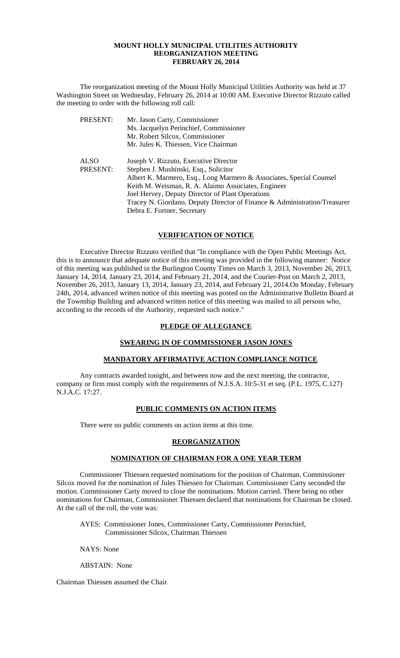#### **MOUNT HOLLY MUNICIPAL UTILITIES AUTHORITY REORGANIZATION MEETING FEBRUARY 26, 2014**

 The reorganization meeting of the Mount Holly Municipal Utilities Authority was held at 37 Washington Street on Wednesday, February 26, 2014 at 10:00 AM. Executive Director Rizzuto called the meeting to order with the following roll call:

| PRESENT:    | Mr. Jason Carty, Commissioner                                             |
|-------------|---------------------------------------------------------------------------|
|             | Ms. Jacquelyn Perinchief, Commissioner                                    |
|             | Mr. Robert Silcox, Commissioner                                           |
|             | Mr. Jules K. Thiessen, Vice Chairman                                      |
| <b>ALSO</b> | Joseph V. Rizzuto, Executive Director                                     |
| PRESENT:    | Stephen J. Mushinski, Esq., Solicitor                                     |
|             | Albert K. Marmero, Esq., Long Marmero & Associates, Special Counsel       |
|             | Keith M. Weisman, R. A. Alaimo Associates, Engineer                       |
|             | Joel Hervey, Deputy Director of Plant Operations                          |
|             | Tracey N. Giordano, Deputy Director of Finance & Administration/Treasurer |
|             | Debra E. Fortner, Secretary                                               |

## **VERIFICATION OF NOTICE**

 Executive Director Rizzuto verified that "In compliance with the Open Public Meetings Act, this is to announce that adequate notice of this meeting was provided in the following manner: Notice of this meeting was published in the Burlington County Times on March 3, 2013, November 26, 2013, January 14, 2014, January 23, 2014, and February 21, 2014, and the Courier-Post on March 2, 2013, November 26, 2013, January 13, 2014, January 23, 2014, and February 21, 2014.On Monday, February 24th, 2014, advanced written notice of this meeting was posted on the Administrative Bulletin Board at the Township Building and advanced written notice of this meeting was mailed to all persons who, according to the records of the Authority, requested such notice."

#### **PLEDGE OF ALLEGIANCE**

## **SWEARING IN OF COMMISSIONER JASON JONES**

## **MANDATORY AFFIRMATIVE ACTION COMPLIANCE NOTICE**

 Any contracts awarded tonight, and between now and the next meeting, the contractor, company or firm must comply with the requirements of N.J.S.A. 10:5-31 et seq. (P.L. 1975, C.127) N.J.A.C. 17:27.

## **PUBLIC COMMENTS ON ACTION ITEMS**

There were no public comments on action items at this time.

#### **REORGANIZATION**

### **NOMINATION OF CHAIRMAN FOR A ONE YEAR TERM**

Commissioner Thiessen requested nominations for the position of Chairman. Commissioner Silcox moved for the nomination of Jules Thiessen for Chairman. Commissioner Carty seconded the motion. Commissioner Carty moved to close the nominations. Motion carried. There being no other nominations for Chairman, Commissioner Thiessen declared that nominations for Chairman be closed. At the call of the roll, the vote was:

AYES: Commissioner Jones, Commissioner Carty, Commissioner Perinchief, Commissioner Silcox, Chairman Thiessen

NAYS: None

ABSTAIN: None

Chairman Thiessen assumed the Chair.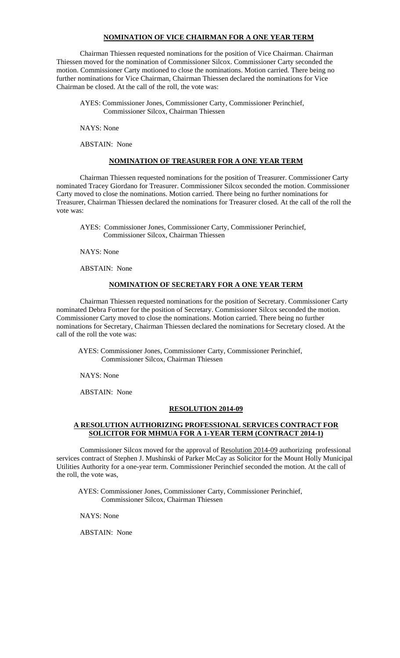#### **NOMINATION OF VICE CHAIRMAN FOR A ONE YEAR TERM**

 Chairman Thiessen requested nominations for the position of Vice Chairman. Chairman Thiessen moved for the nomination of Commissioner Silcox. Commissioner Carty seconded the motion. Commissioner Carty motioned to close the nominations. Motion carried. There being no further nominations for Vice Chairman, Chairman Thiessen declared the nominations for Vice Chairman be closed. At the call of the roll, the vote was:

 AYES: Commissioner Jones, Commissioner Carty, Commissioner Perinchief, Commissioner Silcox, Chairman Thiessen

NAYS: None

ABSTAIN: None

## **NOMINATION OF TREASURER FOR A ONE YEAR TERM**

 Chairman Thiessen requested nominations for the position of Treasurer. Commissioner Carty nominated Tracey Giordano for Treasurer. Commissioner Silcox seconded the motion. Commissioner Carty moved to close the nominations. Motion carried. There being no further nominations for Treasurer, Chairman Thiessen declared the nominations for Treasurer closed. At the call of the roll the vote was:

 AYES: Commissioner Jones, Commissioner Carty, Commissioner Perinchief, Commissioner Silcox, Chairman Thiessen

NAYS: None

ABSTAIN: None

### **NOMINATION OF SECRETARY FOR A ONE YEAR TERM**

 Chairman Thiessen requested nominations for the position of Secretary. Commissioner Carty nominated Debra Fortner for the position of Secretary. Commissioner Silcox seconded the motion. Commissioner Carty moved to close the nominations. Motion carried. There being no further nominations for Secretary, Chairman Thiessen declared the nominations for Secretary closed. At the call of the roll the vote was:

 AYES: Commissioner Jones, Commissioner Carty, Commissioner Perinchief, Commissioner Silcox, Chairman Thiessen

NAYS: None

ABSTAIN: None

### **RESOLUTION 2014-09**

## **A RESOLUTION AUTHORIZING PROFESSIONAL SERVICES CONTRACT FOR SOLICITOR FOR MHMUA FOR A 1-YEAR TERM (CONTRACT 2014-1)**

Commissioner Silcox moved for the approval of Resolution 2014-09 authorizing professional services contract of Stephen J. Mushinski of Parker McCay as Solicitor for the Mount Holly Municipal Utilities Authority for a one-year term. Commissioner Perinchief seconded the motion. At the call of the roll, the vote was,

 AYES: Commissioner Jones, Commissioner Carty, Commissioner Perinchief, Commissioner Silcox, Chairman Thiessen

NAYS: None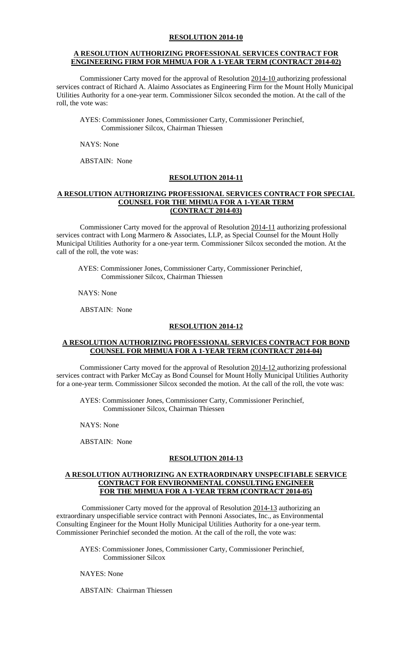#### **A RESOLUTION AUTHORIZING PROFESSIONAL SERVICES CONTRACT FOR ENGINEERING FIRM FOR MHMUA FOR A 1-YEAR TERM (CONTRACT 2014-02)**

Commissioner Carty moved for the approval of Resolution 2014-10 authorizing professional services contract of Richard A. Alaimo Associates as Engineering Firm for the Mount Holly Municipal Utilities Authority for a one-year term. Commissioner Silcox seconded the motion. At the call of the roll, the vote was:

 AYES: Commissioner Jones, Commissioner Carty, Commissioner Perinchief, Commissioner Silcox, Chairman Thiessen

NAYS: None

ABSTAIN: None

### **RESOLUTION 2014-11**

### **A RESOLUTION AUTHORIZING PROFESSIONAL SERVICES CONTRACT FOR SPECIAL COUNSEL FOR THE MHMUA FOR A 1-YEAR TERM (CONTRACT 2014-03)**

 Commissioner Carty moved for the approval of Resolution 2014-11 authorizing professional services contract with Long Marmero & Associates, LLP, as Special Counsel for the Mount Holly Municipal Utilities Authority for a one-year term. Commissioner Silcox seconded the motion. At the call of the roll, the vote was:

 AYES: Commissioner Jones, Commissioner Carty, Commissioner Perinchief, Commissioner Silcox, Chairman Thiessen

NAYS: None

ABSTAIN: None

#### **RESOLUTION 2014-12**

### **A RESOLUTION AUTHORIZING PROFESSIONAL SERVICES CONTRACT FOR BOND COUNSEL FOR MHMUA FOR A 1-YEAR TERM (CONTRACT 2014-04)**

 Commissioner Carty moved for the approval of Resolution 2014-12 authorizing professional services contract with Parker McCay as Bond Counsel for Mount Holly Municipal Utilities Authority for a one-year term. Commissioner Silcox seconded the motion. At the call of the roll, the vote was:

 AYES: Commissioner Jones, Commissioner Carty, Commissioner Perinchief, Commissioner Silcox, Chairman Thiessen

NAYS: None

ABSTAIN: None

## **RESOLUTION 2014-13**

#### **A RESOLUTION AUTHORIZING AN EXTRAORDINARY UNSPECIFIABLE SERVICE CONTRACT FOR ENVIRONMENTAL CONSULTING ENGINEER FOR THE MHMUA FOR A 1-YEAR TERM (CONTRACT 2014-05)**

 Commissioner Carty moved for the approval of Resolution 2014-13 authorizing an extraordinary unspecifiable service contract with Pennoni Associates, Inc., as Environmental Consulting Engineer for the Mount Holly Municipal Utilities Authority for a one-year term. Commissioner Perinchief seconded the motion. At the call of the roll, the vote was:

 AYES: Commissioner Jones, Commissioner Carty, Commissioner Perinchief, Commissioner Silcox

NAYES: None

ABSTAIN: Chairman Thiessen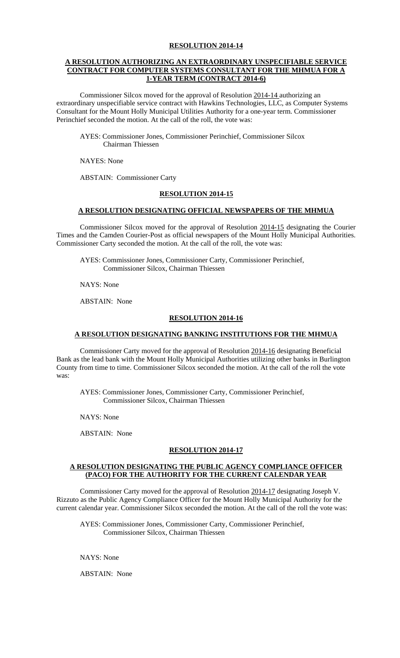## **A RESOLUTION AUTHORIZING AN EXTRAORDINARY UNSPECIFIABLE SERVICE CONTRACT FOR COMPUTER SYSTEMS CONSULTANT FOR THE MHMUA FOR A 1-YEAR TERM (CONTRACT 2014-6)**

 Commissioner Silcox moved for the approval of Resolution 2014-14 authorizing an extraordinary unspecifiable service contract with Hawkins Technologies, LLC, as Computer Systems Consultant for the Mount Holly Municipal Utilities Authority for a one-year term. Commissioner Perinchief seconded the motion. At the call of the roll, the vote was:

 AYES: Commissioner Jones, Commissioner Perinchief, Commissioner Silcox Chairman Thiessen

NAYES: None

ABSTAIN: Commissioner Carty

### **RESOLUTION 2014-15**

#### **A RESOLUTION DESIGNATING OFFICIAL NEWSPAPERS OF THE MHMUA**

 Commissioner Silcox moved for the approval of Resolution 2014-15 designating the Courier Times and the Camden Courier-Post as official newspapers of the Mount Holly Municipal Authorities. Commissioner Carty seconded the motion. At the call of the roll, the vote was:

AYES: Commissioner Jones, Commissioner Carty, Commissioner Perinchief, Commissioner Silcox, Chairman Thiessen

NAYS: None

ABSTAIN: None

### **RESOLUTION 2014-16**

## **A RESOLUTION DESIGNATING BANKING INSTITUTIONS FOR THE MHMUA**

 Commissioner Carty moved for the approval of Resolution 2014-16 designating Beneficial Bank as the lead bank with the Mount Holly Municipal Authorities utilizing other banks in Burlington County from time to time. Commissioner Silcox seconded the motion. At the call of the roll the vote was:

AYES: Commissioner Jones, Commissioner Carty, Commissioner Perinchief, Commissioner Silcox, Chairman Thiessen

NAYS: None

ABSTAIN: None

## **RESOLUTION 2014-17**

### **A RESOLUTION DESIGNATING THE PUBLIC AGENCY COMPLIANCE OFFICER (PACO) FOR THE AUTHORITY FOR THE CURRENT CALENDAR YEAR**

 Commissioner Carty moved for the approval of Resolution 2014-17 designating Joseph V. Rizzuto as the Public Agency Compliance Officer for the Mount Holly Municipal Authority for the current calendar year. Commissioner Silcox seconded the motion. At the call of the roll the vote was:

AYES: Commissioner Jones, Commissioner Carty, Commissioner Perinchief, Commissioner Silcox, Chairman Thiessen

NAYS: None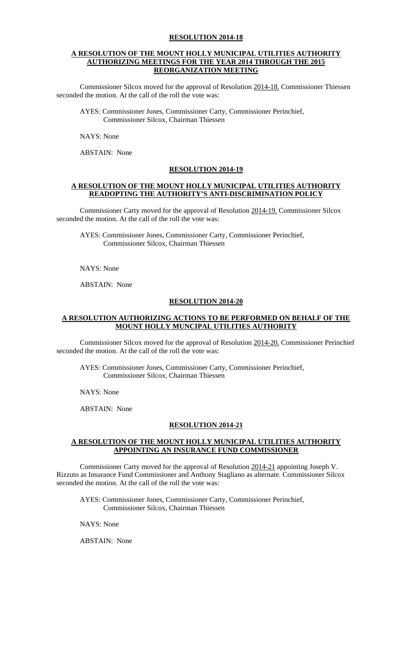#### **A RESOLUTION OF THE MOUNT HOLLY MUNICIPAL UTILITIES AUTHORITY AUTHORIZING MEETINGS FOR THE YEAR 2014 THROUGH THE 2015 REORGANIZATION MEETING**

 Commissioner Silcox moved for the approval of Resolution 2014-18. Commissioner Thiessen seconded the motion. At the call of the roll the vote was:

AYES: Commissioner Jones, Commissioner Carty, Commissioner Perinchief, Commissioner Silcox, Chairman Thiessen

NAYS: None

ABSTAIN: None

### **RESOLUTION 2014-19**

## **A RESOLUTION OF THE MOUNT HOLLY MUNICIPAL UTILITIES AUTHORITY READOPTING THE AUTHORITY'S ANTI-DISCRIMINATION POLICY**

 Commissioner Carty moved for the approval of Resolution 2014-19. Commissioner Silcox seconded the motion. At the call of the roll the vote was:

AYES: Commissioner Jones, Commissioner Carty, Commissioner Perinchief, Commissioner Silcox, Chairman Thiessen

NAYS: None

ABSTAIN: None

### **RESOLUTION 2014-20**

## **A RESOLUTION AUTHORIZING ACTIONS TO BE PERFORMED ON BEHALF OF THE MOUNT HOLLY MUNCIPAL UTILITIES AUTHORITY**

 Commissioner Silcox moved for the approval of Resolution 2014-20. Commissioner Perinchief seconded the motion. At the call of the roll the vote was:

AYES: Commissioner Jones, Commissioner Carty, Commissioner Perinchief, Commissioner Silcox, Chairman Thiessen

NAYS: None

ABSTAIN: None

## **RESOLUTION 2014-21**

# **A RESOLUTION OF THE MOUNT HOLLY MUNICIPAL UTILITIES AUTHORITY APPOINTING AN INSURANCE FUND COMMISSIONER**

 Commissioner Carty moved for the approval of Resolution 2014-21 appointing Joseph V. Rizzuto as Insurance Fund Commissioner and Anthony Stagliano as alternate. Commissioner Silcox seconded the motion. At the call of the roll the vote was:

AYES: Commissioner Jones, Commissioner Carty, Commissioner Perinchief, Commissioner Silcox, Chairman Thiessen

NAYS: None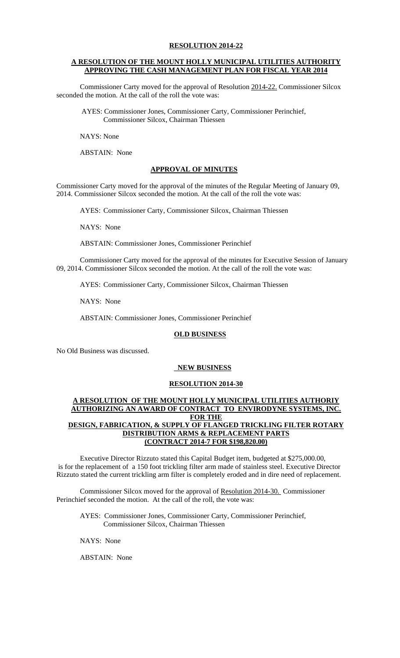## **A RESOLUTION OF THE MOUNT HOLLY MUNICIPAL UTILITIES AUTHORITY APPROVING THE CASH MANAGEMENT PLAN FOR FISCAL YEAR 2014**

 Commissioner Carty moved for the approval of Resolution 2014-22. Commissioner Silcox seconded the motion. At the call of the roll the vote was:

 AYES: Commissioner Jones, Commissioner Carty, Commissioner Perinchief, Commissioner Silcox, Chairman Thiessen

NAYS: None

ABSTAIN: None

## **APPROVAL OF MINUTES**

Commissioner Carty moved for the approval of the minutes of the Regular Meeting of January 09, 2014. Commissioner Silcox seconded the motion. At the call of the roll the vote was:

AYES: Commissioner Carty, Commissioner Silcox, Chairman Thiessen

NAYS: None

ABSTAIN: Commissioner Jones, Commissioner Perinchief

 Commissioner Carty moved for the approval of the minutes for Executive Session of January 09, 2014. Commissioner Silcox seconded the motion. At the call of the roll the vote was:

AYES: Commissioner Carty, Commissioner Silcox, Chairman Thiessen

NAYS: None

ABSTAIN: Commissioner Jones, Commissioner Perinchief

## **OLD BUSINESS**

No Old Business was discussed.

## **NEW BUSINESS**

## **RESOLUTION 2014-30**

### **A RESOLUTION OF THE MOUNT HOLLY MUNICIPAL UTILITIES AUTHORIY AUTHORIZING AN AWARD OF CONTRACT TO ENVIRODYNE SYSTEMS, INC. FOR THE DESIGN, FABRICATION, & SUPPLY OF FLANGED TRICKLING FILTER ROTARY DISTRIBUTION ARMS & REPLACEMENT PARTS (CONTRACT 2014-7 FOR \$198,820.00)**

Executive Director Rizzuto stated this Capital Budget item, budgeted at \$275,000.00, is for the replacement of a 150 foot trickling filter arm made of stainless steel. Executive Director Rizzuto stated the current trickling arm filter is completely eroded and in dire need of replacement.

Commissioner Silcox moved for the approval of Resolution 2014-30. Commissioner Perinchief seconded the motion. At the call of the roll, the vote was:

AYES: Commissioner Jones, Commissioner Carty, Commissioner Perinchief, Commissioner Silcox, Chairman Thiessen

NAYS: None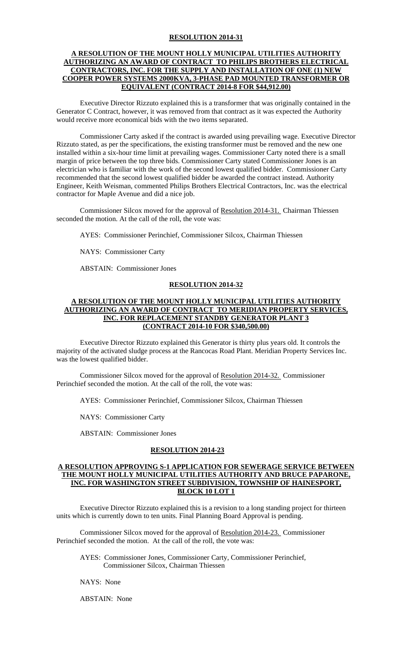### **A RESOLUTION OF THE MOUNT HOLLY MUNICIPAL UTILITIES AUTHORITY AUTHORIZING AN AWARD OF CONTRACT TO PHILIPS BROTHERS ELECTRICAL CONTRACTORS, INC. FOR THE SUPPLY AND INSTALLATION OF ONE (1) NEW COOPER POWER SYSTEMS 2000KVA, 3-PHASE PAD MOUNTED TRANSFORMER OR EQUIVALENT (CONTRACT 2014-8 FOR \$44,912.00)**

Executive Director Rizzuto explained this is a transformer that was originally contained in the Generator C Contract, however, it was removed from that contract as it was expected the Authority would receive more economical bids with the two items separated.

 Commissioner Carty asked if the contract is awarded using prevailing wage. Executive Director Rizzuto stated, as per the specifications, the existing transformer must be removed and the new one installed within a six-hour time limit at prevailing wages. Commissioner Carty noted there is a small margin of price between the top three bids. Commissioner Carty stated Commissioner Jones is an electrician who is familiar with the work of the second lowest qualified bidder. Commissioner Carty recommended that the second lowest qualified bidder be awarded the contract instead. Authority Engineer, Keith Weisman, commented Philips Brothers Electrical Contractors, Inc. was the electrical contractor for Maple Avenue and did a nice job.

Commissioner Silcox moved for the approval of Resolution 2014-31. Chairman Thiessen seconded the motion. At the call of the roll, the vote was:

AYES: Commissioner Perinchief, Commissioner Silcox, Chairman Thiessen

NAYS: Commissioner Carty

ABSTAIN: Commissioner Jones

#### **RESOLUTION 2014-32**

### **A RESOLUTION OF THE MOUNT HOLLY MUNICIPAL UTILITIES AUTHORITY AUTHORIZING AN AWARD OF CONTRACT TO MERIDIAN PROPERTY SERVICES, INC. FOR REPLACEMENT STANDBY GENERATOR PLANT 3 (CONTRACT 2014-10 FOR \$340,500.00)**

 Executive Director Rizzuto explained this Generator is thirty plus years old. It controls the majority of the activated sludge process at the Rancocas Road Plant. Meridian Property Services Inc. was the lowest qualified bidder.

Commissioner Silcox moved for the approval of Resolution 2014-32. Commissioner Perinchief seconded the motion. At the call of the roll, the vote was:

AYES: Commissioner Perinchief, Commissioner Silcox, Chairman Thiessen

NAYS: Commissioner Carty

ABSTAIN: Commissioner Jones

## **RESOLUTION 2014-23**

### **A RESOLUTION APPROVING S-1 APPLICATION FOR SEWERAGE SERVICE BETWEEN THE MOUNT HOLLY MUNICIPAL UTILITIES AUTHORITY AND BRUCE PAPARONE, INC. FOR WASHINGTON STREET SUBDIVISION, TOWNSHIP OF HAINESPORT, BLOCK 10 LOT 1**

Executive Director Rizzuto explained this is a revision to a long standing project for thirteen units which is currently down to ten units. Final Planning Board Approval is pending.

Commissioner Silcox moved for the approval of Resolution 2014-23. Commissioner Perinchief seconded the motion. At the call of the roll, the vote was:

AYES: Commissioner Jones, Commissioner Carty, Commissioner Perinchief, Commissioner Silcox, Chairman Thiessen

NAYS: None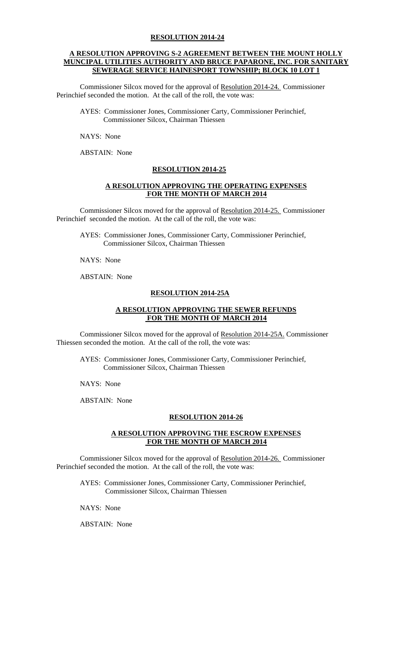### **A RESOLUTION APPROVING S-2 AGREEMENT BETWEEN THE MOUNT HOLLY MUNCIPAL UTILITIES AUTHORITY AND BRUCE PAPARONE, INC. FOR SANITARY SEWERAGE SERVICE HAINESPORT TOWNSHIP; BLOCK 10 LOT 1**

Commissioner Silcox moved for the approval of Resolution 2014-24. Commissioner Perinchief seconded the motion. At the call of the roll, the vote was:

AYES: Commissioner Jones, Commissioner Carty, Commissioner Perinchief, Commissioner Silcox, Chairman Thiessen

NAYS: None

ABSTAIN: None

## **RESOLUTION 2014-25**

### **A RESOLUTION APPROVING THE OPERATING EXPENSES FOR THE MONTH OF MARCH 2014**

Commissioner Silcox moved for the approval of Resolution 2014-25. Commissioner Perinchief seconded the motion. At the call of the roll, the vote was:

AYES: Commissioner Jones, Commissioner Carty, Commissioner Perinchief, Commissioner Silcox, Chairman Thiessen

NAYS: None

ABSTAIN: None

### **RESOLUTION 2014-25A**

## **A RESOLUTION APPROVING THE SEWER REFUNDS FOR THE MONTH OF MARCH 2014**

Commissioner Silcox moved for the approval of Resolution 2014-25A. Commissioner Thiessen seconded the motion. At the call of the roll, the vote was:

AYES: Commissioner Jones, Commissioner Carty, Commissioner Perinchief, Commissioner Silcox, Chairman Thiessen

NAYS: None

ABSTAIN: None

## **RESOLUTION 2014-26**

## **A RESOLUTION APPROVING THE ESCROW EXPENSES FOR THE MONTH OF MARCH 2014**

Commissioner Silcox moved for the approval of Resolution 2014-26. Commissioner Perinchief seconded the motion. At the call of the roll, the vote was:

AYES: Commissioner Jones, Commissioner Carty, Commissioner Perinchief, Commissioner Silcox, Chairman Thiessen

NAYS: None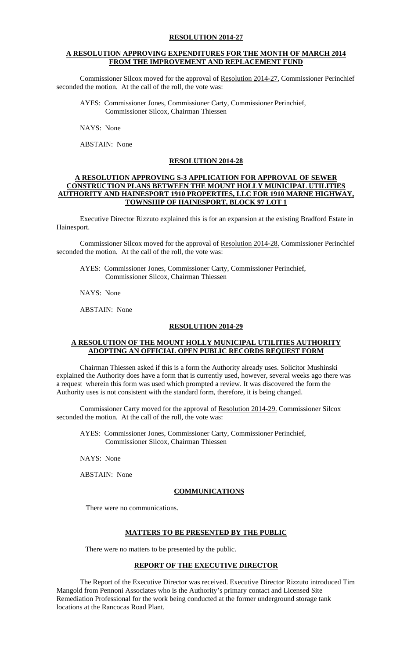#### **A RESOLUTION APPROVING EXPENDITURES FOR THE MONTH OF MARCH 2014 FROM THE IMPROVEMENT AND REPLACEMENT FUND**

Commissioner Silcox moved for the approval of Resolution 2014-27. Commissioner Perinchief seconded the motion. At the call of the roll, the vote was:

AYES: Commissioner Jones, Commissioner Carty, Commissioner Perinchief, Commissioner Silcox, Chairman Thiessen

NAYS: None

ABSTAIN: None

### **RESOLUTION 2014-28**

### **A RESOLUTION APPROVING S-3 APPLICATION FOR APPROVAL OF SEWER CONSTRUCTION PLANS BETWEEN THE MOUNT HOLLY MUNICIPAL UTILITIES AUTHORITY AND HAINESPORT 1910 PROPERTIES, LLC FOR 1910 MARNE HIGHWAY, TOWNSHIP OF HAINESPORT, BLOCK 97 LOT 1**

Executive Director Rizzuto explained this is for an expansion at the existing Bradford Estate in Hainesport.

Commissioner Silcox moved for the approval of Resolution 2014-28. Commissioner Perinchief seconded the motion. At the call of the roll, the vote was:

AYES: Commissioner Jones, Commissioner Carty, Commissioner Perinchief, Commissioner Silcox, Chairman Thiessen

NAYS: None

ABSTAIN: None

#### **RESOLUTION 2014-29**

## **A RESOLUTION OF THE MOUNT HOLLY MUNICIPAL UTILITIES AUTHORITY ADOPTING AN OFFICIAL OPEN PUBLIC RECORDS REQUEST FORM**

 Chairman Thiessen asked if this is a form the Authority already uses. Solicitor Mushinski explained the Authority does have a form that is currently used, however, several weeks ago there was a request wherein this form was used which prompted a review. It was discovered the form the Authority uses is not consistent with the standard form, therefore, it is being changed.

Commissioner Carty moved for the approval of Resolution 2014-29. Commissioner Silcox seconded the motion. At the call of the roll, the vote was:

AYES: Commissioner Jones, Commissioner Carty, Commissioner Perinchief, Commissioner Silcox, Chairman Thiessen

NAYS: None

ABSTAIN: None

#### **COMMUNICATIONS**

There were no communications.

#### **MATTERS TO BE PRESENTED BY THE PUBLIC**

There were no matters to be presented by the public.

# **REPORT OF THE EXECUTIVE DIRECTOR**

The Report of the Executive Director was received. Executive Director Rizzuto introduced Tim Mangold from Pennoni Associates who is the Authority's primary contact and Licensed Site Remediation Professional for the work being conducted at the former underground storage tank locations at the Rancocas Road Plant.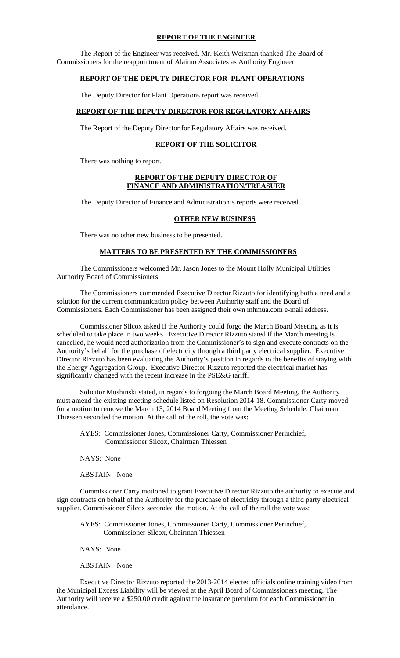#### **REPORT OF THE ENGINEER**

 The Report of the Engineer was received. Mr. Keith Weisman thanked The Board of Commissioners for the reappointment of Alaimo Associates as Authority Engineer.

## **REPORT OF THE DEPUTY DIRECTOR FOR PLANT OPERATIONS**

The Deputy Director for Plant Operations report was received.

## **REPORT OF THE DEPUTY DIRECTOR FOR REGULATORY AFFAIRS**

The Report of the Deputy Director for Regulatory Affairs was received.

#### **REPORT OF THE SOLICITOR**

There was nothing to report.

#### **REPORT OF THE DEPUTY DIRECTOR OF FINANCE AND ADMINISTRATION/TREASUER**

The Deputy Director of Finance and Administration's reports were received.

#### **OTHER NEW BUSINESS**

There was no other new business to be presented.

## **MATTERS TO BE PRESENTED BY THE COMMISSIONERS**

 The Commissioners welcomed Mr. Jason Jones to the Mount Holly Municipal Utilities Authority Board of Commissioners.

 The Commissioners commended Executive Director Rizzuto for identifying both a need and a solution for the current communication policy between Authority staff and the Board of Commissioners. Each Commissioner has been assigned their own mhmua.com e-mail address.

Commissioner Silcox asked if the Authority could forgo the March Board Meeting as it is scheduled to take place in two weeks. Executive Director Rizzuto stated if the March meeting is cancelled, he would need authorization from the Commissioner's to sign and execute contracts on the Authority's behalf for the purchase of electricity through a third party electrical supplier. Executive Director Rizzuto has been evaluating the Authority's position in regards to the benefits of staying with the Energy Aggregation Group. Executive Director Rizzuto reported the electrical market has significantly changed with the recent increase in the PSE&G tariff.

Solicitor Mushinski stated, in regards to forgoing the March Board Meeting, the Authority must amend the existing meeting schedule listed on Resolution 2014-18. Commissioner Carty moved for a motion to remove the March 13, 2014 Board Meeting from the Meeting Schedule. Chairman Thiessen seconded the motion. At the call of the roll, the vote was:

AYES: Commissioner Jones, Commissioner Carty, Commissioner Perinchief, Commissioner Silcox, Chairman Thiessen

NAYS: None

ABSTAIN: None

 Commissioner Carty motioned to grant Executive Director Rizzuto the authority to execute and sign contracts on behalf of the Authority for the purchase of electricity through a third party electrical supplier. Commissioner Silcox seconded the motion. At the call of the roll the vote was:

AYES: Commissioner Jones, Commissioner Carty, Commissioner Perinchief, Commissioner Silcox, Chairman Thiessen

NAYS: None

#### ABSTAIN: None

Executive Director Rizzuto reported the 2013-2014 elected officials online training video from the Municipal Excess Liability will be viewed at the April Board of Commissioners meeting. The Authority will receive a \$250.00 credit against the insurance premium for each Commissioner in attendance.